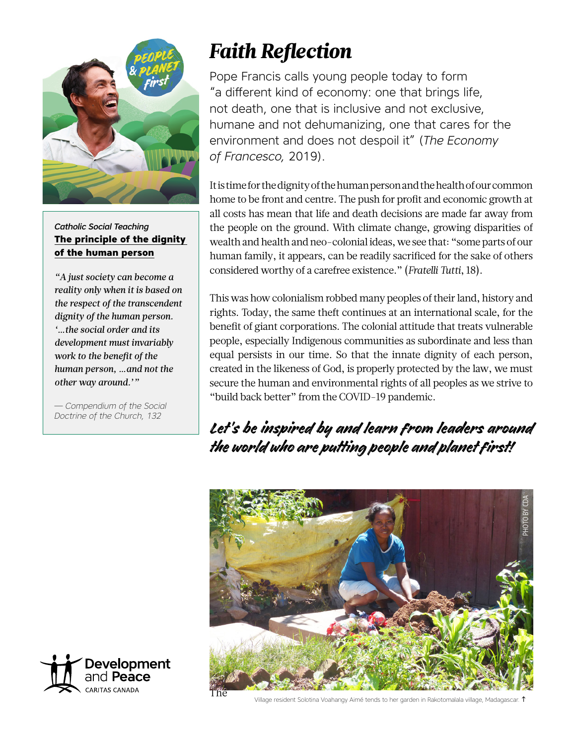

*Catholic Social Teaching* **[The principle of the dignity](https://www.devp.org/en/cst)  [of the human person](https://www.devp.org/en/cst)**

*"A just society can become a reality only when it is based on the respect of the transcendent dignity of the human person. '…the social order and its development must invariably work to the benefit of the human person, …and not the other way around.'"*

— *Compendium of the Social Doctrine of the Church, 132*



Pope Francis calls young people today to form "a different kind of economy: one that brings life, not death, one that is inclusive and not exclusive, humane and not dehumanizing, one that cares for the environment and does not despoil it" (*The Economy of Francesco,* 2019).

It is time for the dignity of the human person and the health of our common home to be front and centre. The push for profit and economic growth at all costs has mean that life and death decisions are made far away from the people on the ground. With climate change, growing disparities of wealth and health and neo-colonial ideas, we see that: "some parts of our human family, it appears, can be readily sacrificed for the sake of others considered worthy of a carefree existence." (*Fratelli Tutti*, 18).

This was how colonialism robbed many peoples of their land, history and rights. Today, the same theft continues at an international scale, for the benefit of giant corporations. The colonial attitude that treats vulnerable people, especially Indigenous communities as subordinate and less than equal persists in our time. So that the innate dignity of each person, created in the likeness of God, is properly protected by the law, we must secure the human and environmental rights of all peoples as we strive to "build back better" from the COVID-19 pandemic.

Let's be inspired by and learn from leaders around the world who are putting people and planet first!